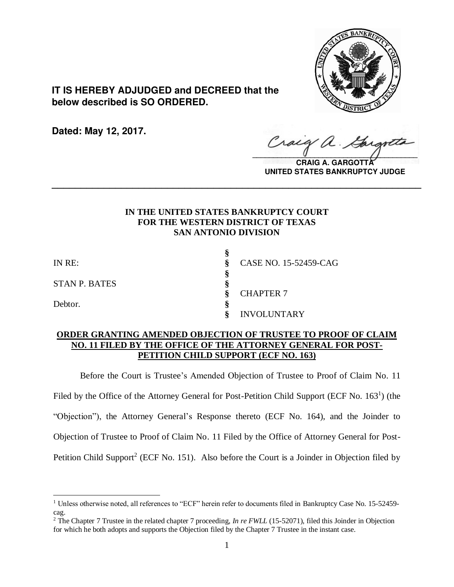

**IT IS HEREBY ADJUDGED and DECREED that the below described is SO ORDERED.**

**Dated: May 12, 2017.**

Cracy a.  $\sqrt{2}$ 

**CRAIG A. GARGOTT UNITED STATES BANKRUPTCY JUDGE**

# **IN THE UNITED STATES BANKRUPTCY COURT FOR THE WESTERN DISTRICT OF TEXAS SAN ANTONIO DIVISION**

**\_\_\_\_\_\_\_\_\_\_\_\_\_\_\_\_\_\_\_\_\_\_\_\_\_\_\_\_\_\_\_\_\_\_\_\_\_\_\_\_\_\_\_\_\_\_\_\_\_\_\_\_\_\_\_\_\_\_\_\_\_\_\_\_**

**§**

**§**

STAN P. BATES **§**

Debtor. **§**

 $\overline{a}$ 

IN RE: **§** CASE NO. 15-52459-CAG **§** CHAPTER 7 **§** INVOLUNTARY

# **ORDER GRANTING AMENDED OBJECTION OF TRUSTEE TO PROOF OF CLAIM NO. 11 FILED BY THE OFFICE OF THE ATTORNEY GENERAL FOR POST-PETITION CHILD SUPPORT (ECF NO. 163)**

Before the Court is Trustee's Amended Objection of Trustee to Proof of Claim No. 11 Filed by the Office of the Attorney General for Post-Petition Child Support (ECF No. 163<sup>1</sup>) (the "Objection"), the Attorney General's Response thereto (ECF No. 164), and the Joinder to Objection of Trustee to Proof of Claim No. 11 Filed by the Office of Attorney General for Post-Petition Child Support<sup>2</sup> (ECF No. 151). Also before the Court is a Joinder in Objection filed by

<sup>&</sup>lt;sup>1</sup> Unless otherwise noted, all references to "ECF" herein refer to documents filed in Bankruptcy Case No. 15-52459cag.

<sup>&</sup>lt;sup>2</sup> The Chapter 7 Trustee in the related chapter 7 proceeding, *In re FWLL* (15-52071), filed this Joinder in Objection for which he both adopts and supports the Objection filed by the Chapter 7 Trustee in the instant case.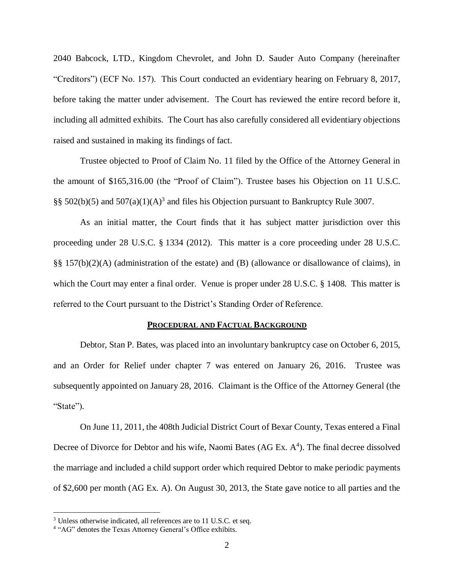2040 Babcock, LTD., Kingdom Chevrolet, and John D. Sauder Auto Company (hereinafter "Creditors") (ECF No. 157). This Court conducted an evidentiary hearing on February 8, 2017, before taking the matter under advisement. The Court has reviewed the entire record before it, including all admitted exhibits. The Court has also carefully considered all evidentiary objections raised and sustained in making its findings of fact.

Trustee objected to Proof of Claim No. 11 filed by the Office of the Attorney General in the amount of \$165,316.00 (the "Proof of Claim"). Trustee bases his Objection on 11 U.S.C. §§ 502(b)(5) and 507(a)(1)(A)<sup>3</sup> and files his Objection pursuant to Bankruptcy Rule 3007.

As an initial matter, the Court finds that it has subject matter jurisdiction over this proceeding under 28 U.S.C. § 1334 (2012). This matter is a core proceeding under 28 U.S.C. §§ 157(b)(2)(A) (administration of the estate) and (B) (allowance or disallowance of claims), in which the Court may enter a final order. Venue is proper under 28 U.S.C. § 1408. This matter is referred to the Court pursuant to the District's Standing Order of Reference.

### **PROCEDURAL AND FACTUAL BACKGROUND**

Debtor, Stan P. Bates, was placed into an involuntary bankruptcy case on October 6, 2015, and an Order for Relief under chapter 7 was entered on January 26, 2016. Trustee was subsequently appointed on January 28, 2016. Claimant is the Office of the Attorney General (the "State").

On June 11, 2011, the 408th Judicial District Court of Bexar County, Texas entered a Final Decree of Divorce for Debtor and his wife, Naomi Bates (AG Ex. A<sup>4</sup>). The final decree dissolved the marriage and included a child support order which required Debtor to make periodic payments of \$2,600 per month (AG Ex. A). On August 30, 2013, the State gave notice to all parties and the

 $\overline{a}$ 

<sup>&</sup>lt;sup>3</sup> Unless otherwise indicated, all references are to 11 U.S.C. et seq.

<sup>&</sup>lt;sup>4</sup> "AG" denotes the Texas Attorney General's Office exhibits.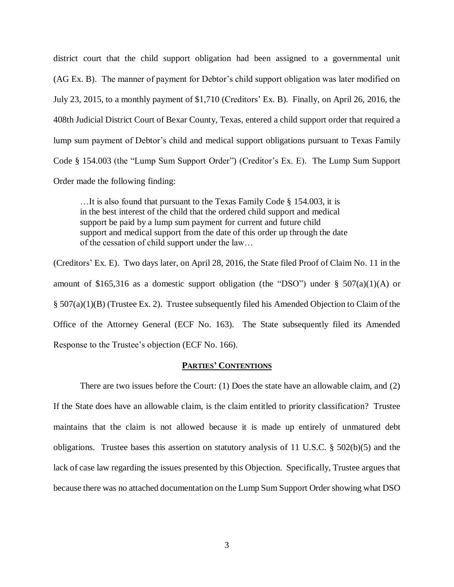district court that the child support obligation had been assigned to a governmental unit (AG Ex. B). The manner of payment for Debtor's child support obligation was later modified on July 23, 2015, to a monthly payment of \$1,710 (Creditors' Ex. B). Finally, on April 26, 2016, the 408th Judicial District Court of Bexar County, Texas, entered a child support order that required a lump sum payment of Debtor's child and medical support obligations pursuant to Texas Family Code § 154.003 (the "Lump Sum Support Order") (Creditor's Ex. E). The Lump Sum Support Order made the following finding:

…It is also found that pursuant to the Texas Family Code § 154.003, it is in the best interest of the child that the ordered child support and medical support be paid by a lump sum payment for current and future child support and medical support from the date of this order up through the date of the cessation of child support under the law…

(Creditors' Ex. E). Two days later, on April 28, 2016, the State filed Proof of Claim No. 11 in the amount of \$165,316 as a domestic support obligation (the "DSO") under  $\S$  507(a)(1)(A) or § 507(a)(1)(B) (Trustee Ex. 2). Trustee subsequently filed his Amended Objection to Claim of the Office of the Attorney General (ECF No. 163). The State subsequently filed its Amended Response to the Trustee's objection (ECF No. 166).

## **PARTIES' CONTENTIONS**

There are two issues before the Court: (1) Does the state have an allowable claim, and (2) If the State does have an allowable claim, is the claim entitled to priority classification? Trustee maintains that the claim is not allowed because it is made up entirely of unmatured debt obligations. Trustee bases this assertion on statutory analysis of 11 U.S.C. § 502(b)(5) and the lack of case law regarding the issues presented by this Objection. Specifically, Trustee argues that because there was no attached documentation on the Lump Sum Support Order showing what DSO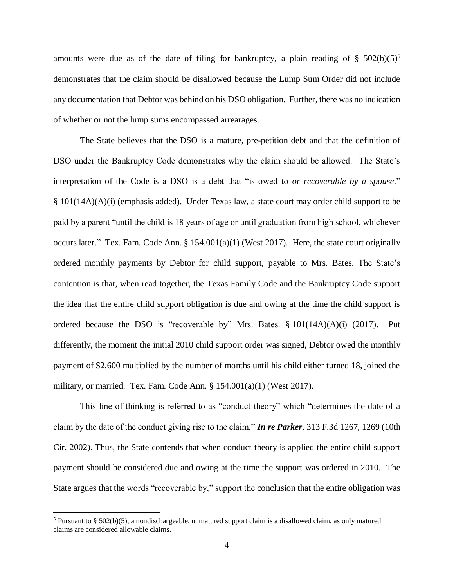amounts were due as of the date of filing for bankruptcy, a plain reading of §  $502(b)(5)^5$ demonstrates that the claim should be disallowed because the Lump Sum Order did not include any documentation that Debtor was behind on his DSO obligation. Further, there was no indication of whether or not the lump sums encompassed arrearages.

The State believes that the DSO is a mature, pre-petition debt and that the definition of DSO under the Bankruptcy Code demonstrates why the claim should be allowed. The State's interpretation of the Code is a DSO is a debt that "is owed to *or recoverable by a spouse*." § 101(14A)(A)(i) (emphasis added). Under Texas law, a state court may order child support to be paid by a parent "until the child is 18 years of age or until graduation from high school, whichever occurs later." Tex. Fam. Code Ann. § 154.001(a)(1) (West 2017). Here, the state court originally ordered monthly payments by Debtor for child support, payable to Mrs. Bates. The State's contention is that, when read together, the Texas Family Code and the Bankruptcy Code support the idea that the entire child support obligation is due and owing at the time the child support is ordered because the DSO is "recoverable by" Mrs. Bates. § 101(14A)(A)(i) (2017). Put differently, the moment the initial 2010 child support order was signed, Debtor owed the monthly payment of \$2,600 multiplied by the number of months until his child either turned 18, joined the military, or married. Tex. Fam. Code Ann. § 154.001(a)(1) (West 2017).

This line of thinking is referred to as "conduct theory" which "determines the date of a claim by the date of the conduct giving rise to the claim." *In re Parker*, 313 F.3d 1267, 1269 (10th Cir. 2002). Thus, the State contends that when conduct theory is applied the entire child support payment should be considered due and owing at the time the support was ordered in 2010. The State argues that the words "recoverable by," support the conclusion that the entire obligation was

 $\overline{a}$ 

<sup>&</sup>lt;sup>5</sup> Pursuant to § 502(b)(5), a nondischargeable, unmatured support claim is a disallowed claim, as only matured claims are considered allowable claims.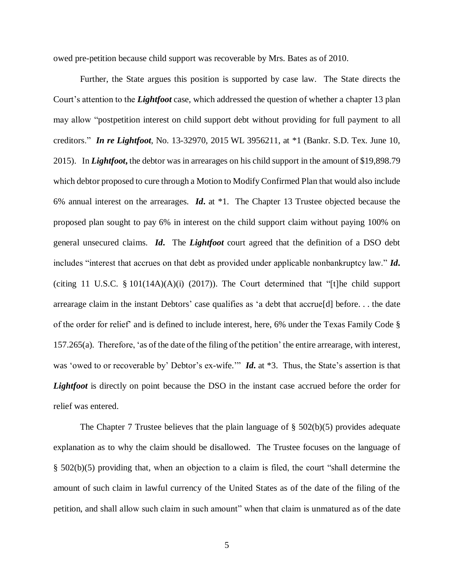owed pre-petition because child support was recoverable by Mrs. Bates as of 2010.

Further, the State argues this position is supported by case law. The State directs the Court's attention to the *Lightfoot* case, which addressed the question of whether a chapter 13 plan may allow "postpetition interest on child support debt without providing for full payment to all creditors." *In re Lightfoot*, No. 13-32970, 2015 WL 3956211, at \*1 (Bankr. S.D. Tex. June 10, 2015). In *Lightfoot***,** the debtor was in arrearages on his child support in the amount of \$19,898.79 which debtor proposed to cure through a Motion to Modify Confirmed Plan that would also include 6% annual interest on the arrearages. *Id***.** at \*1. The Chapter 13 Trustee objected because the proposed plan sought to pay 6% in interest on the child support claim without paying 100% on general unsecured claims. *Id***.** The *Lightfoot* court agreed that the definition of a DSO debt includes "interest that accrues on that debt as provided under applicable nonbankruptcy law." *Id***.** (citing 11 U.S.C.  $\S$  101(14A)(A)(i) (2017)). The Court determined that "[t]he child support arrearage claim in the instant Debtors' case qualifies as 'a debt that accrue[d] before. . . the date of the order for relief' and is defined to include interest, here, 6% under the Texas Family Code § 157.265(a). Therefore, 'as of the date of the filing of the petition' the entire arrearage, with interest, was 'owed to or recoverable by' Debtor's ex-wife.'" *Id***.** at \*3. Thus, the State's assertion is that *Lightfoot* is directly on point because the DSO in the instant case accrued before the order for relief was entered.

The Chapter 7 Trustee believes that the plain language of  $\S$  502(b)(5) provides adequate explanation as to why the claim should be disallowed. The Trustee focuses on the language of § 502(b)(5) providing that, when an objection to a claim is filed, the court "shall determine the amount of such claim in lawful currency of the United States as of the date of the filing of the petition, and shall allow such claim in such amount" when that claim is unmatured as of the date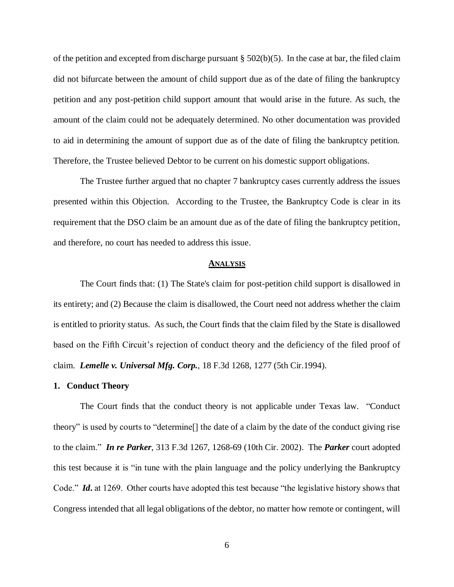of the petition and excepted from discharge pursuant  $\S$  502(b)(5). In the case at bar, the filed claim did not bifurcate between the amount of child support due as of the date of filing the bankruptcy petition and any post-petition child support amount that would arise in the future. As such, the amount of the claim could not be adequately determined. No other documentation was provided to aid in determining the amount of support due as of the date of filing the bankruptcy petition. Therefore, the Trustee believed Debtor to be current on his domestic support obligations.

The Trustee further argued that no chapter 7 bankruptcy cases currently address the issues presented within this Objection. According to the Trustee, the Bankruptcy Code is clear in its requirement that the DSO claim be an amount due as of the date of filing the bankruptcy petition, and therefore, no court has needed to address this issue.

#### **ANALYSIS**

The Court finds that: (1) The State's claim for post-petition child support is disallowed in its entirety; and (2) Because the claim is disallowed, the Court need not address whether the claim is entitled to priority status. As such, the Court finds that the claim filed by the State is disallowed based on the Fifth Circuit's rejection of conduct theory and the deficiency of the filed proof of claim. *Lemelle v. Universal Mfg. Corp.*, 18 F.3d 1268, 1277 (5th Cir.1994).

### **1. Conduct Theory**

The Court finds that the conduct theory is not applicable under Texas law. "Conduct theory" is used by courts to "determine[] the date of a claim by the date of the conduct giving rise to the claim." *In re Parker*, 313 F.3d 1267, 1268-69 (10th Cir. 2002). The *Parker* court adopted this test because it is "in tune with the plain language and the policy underlying the Bankruptcy Code." *Id***.** at 1269. Other courts have adopted this test because "the legislative history shows that Congress intended that all legal obligations of the debtor, no matter how remote or contingent, will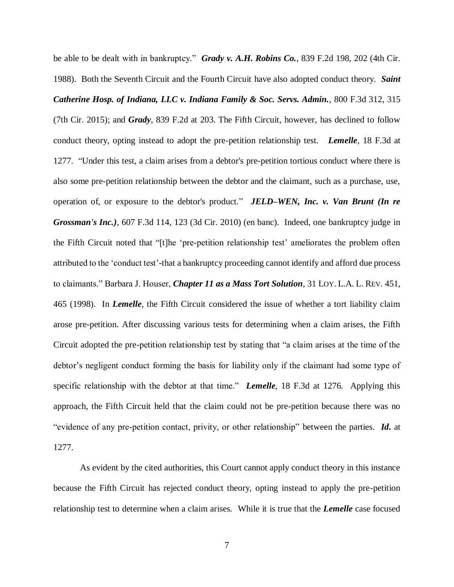be able to be dealt with in bankruptcy." *Grady v. A.H. Robins Co.*, 839 F.2d 198, 202 (4th Cir. 1988). Both the Seventh Circuit and the Fourth Circuit have also adopted conduct theory. *Saint Catherine Hosp. of Indiana, LLC v. Indiana Family & Soc. Servs. Admin.*, 800 F.3d 312, 315 (7th Cir. 2015); and *Grady*, 839 F.2d at 203. The Fifth Circuit, however, has declined to follow conduct theory, opting instead to adopt the pre-petition relationship test. *Lemelle*, 18 F.3d at 1277. "Under this test, a claim arises from a debtor's pre-petition tortious conduct where there is also some pre-petition relationship between the debtor and the claimant, such as a purchase, use, operation of, or exposure to the debtor's product." *JELD–WEN, Inc. v. Van Brunt (In re Grossman's Inc.)*, 607 F.3d 114, 123 (3d Cir. 2010) (en banc). Indeed, one bankruptcy judge in the Fifth Circuit noted that "[t]he 'pre-petition relationship test' ameliorates the problem often attributed to the 'conduct test'-that a bankruptcy proceeding cannot identify and afford due process to claimants." Barbara J. Houser, *Chapter 11 as a Mass Tort Solution*, 31 LOY. L.A. L. REV. 451, 465 (1998). In *Lemelle*, the Fifth Circuit considered the issue of whether a tort liability claim arose pre-petition. After discussing various tests for determining when a claim arises, the Fifth Circuit adopted the pre-petition relationship test by stating that "a claim arises at the time of the debtor's negligent conduct forming the basis for liability only if the claimant had some type of specific relationship with the debtor at that time." *Lemelle*, 18 F.3d at 1276. Applying this approach, the Fifth Circuit held that the claim could not be pre-petition because there was no "evidence of any pre-petition contact, privity, or other relationship" between the parties. *Id***.** at 1277.

As evident by the cited authorities, this Court cannot apply conduct theory in this instance because the Fifth Circuit has rejected conduct theory, opting instead to apply the pre-petition relationship test to determine when a claim arises. While it is true that the *Lemelle* case focused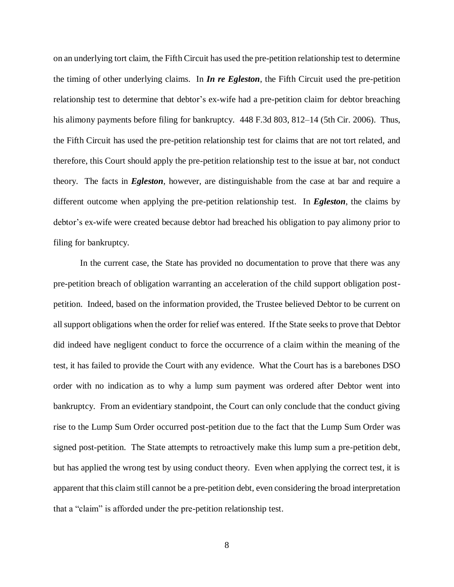on an underlying tort claim, the Fifth Circuit has used the pre-petition relationship test to determine the timing of other underlying claims. In *In re Egleston*, the Fifth Circuit used the pre-petition relationship test to determine that debtor's ex-wife had a pre-petition claim for debtor breaching his alimony payments before filing for bankruptcy. 448 F.3d 803, 812–14 (5th Cir. 2006). Thus, the Fifth Circuit has used the pre-petition relationship test for claims that are not tort related, and therefore, this Court should apply the pre-petition relationship test to the issue at bar, not conduct theory. The facts in *Egleston*, however, are distinguishable from the case at bar and require a different outcome when applying the pre-petition relationship test. In *Egleston*, the claims by debtor's ex-wife were created because debtor had breached his obligation to pay alimony prior to filing for bankruptcy.

In the current case, the State has provided no documentation to prove that there was any pre-petition breach of obligation warranting an acceleration of the child support obligation postpetition. Indeed, based on the information provided, the Trustee believed Debtor to be current on all support obligations when the order for relief was entered. If the State seeks to prove that Debtor did indeed have negligent conduct to force the occurrence of a claim within the meaning of the test, it has failed to provide the Court with any evidence. What the Court has is a barebones DSO order with no indication as to why a lump sum payment was ordered after Debtor went into bankruptcy. From an evidentiary standpoint, the Court can only conclude that the conduct giving rise to the Lump Sum Order occurred post-petition due to the fact that the Lump Sum Order was signed post-petition. The State attempts to retroactively make this lump sum a pre-petition debt, but has applied the wrong test by using conduct theory. Even when applying the correct test, it is apparent that this claim still cannot be a pre-petition debt, even considering the broad interpretation that a "claim" is afforded under the pre-petition relationship test.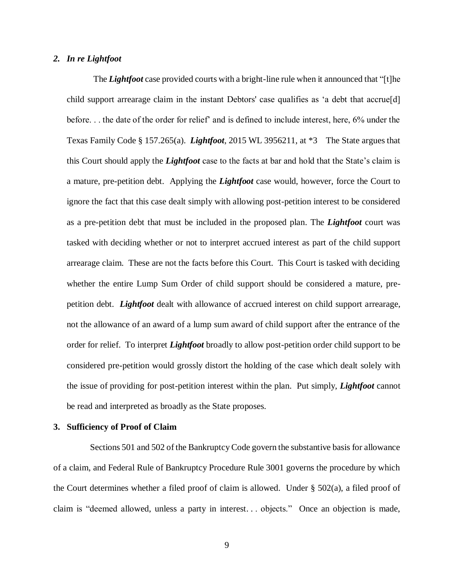# *2. In re Lightfoot*

The *Lightfoot* case provided courts with a bright-line rule when it announced that "[t]he child support arrearage claim in the instant Debtors' case qualifies as 'a debt that accrue[d] before. . . the date of the order for relief' and is defined to include interest, here, 6% under the Texas Family Code § 157.265(a). *Lightfoot*, 2015 WL 3956211, at \*3 The State argues that this Court should apply the *Lightfoot* case to the facts at bar and hold that the State's claim is a mature, pre-petition debt. Applying the *Lightfoot* case would, however, force the Court to ignore the fact that this case dealt simply with allowing post-petition interest to be considered as a pre-petition debt that must be included in the proposed plan. The *Lightfoot* court was tasked with deciding whether or not to interpret accrued interest as part of the child support arrearage claim. These are not the facts before this Court. This Court is tasked with deciding whether the entire Lump Sum Order of child support should be considered a mature, prepetition debt. *Lightfoot* dealt with allowance of accrued interest on child support arrearage, not the allowance of an award of a lump sum award of child support after the entrance of the order for relief. To interpret *Lightfoot* broadly to allow post-petition order child support to be considered pre-petition would grossly distort the holding of the case which dealt solely with the issue of providing for post-petition interest within the plan. Put simply, *Lightfoot* cannot be read and interpreted as broadly as the State proposes.

### **3. Sufficiency of Proof of Claim**

Sections 501 and 502 of the Bankruptcy Code govern the substantive basis for allowance of a claim, and Federal Rule of Bankruptcy Procedure Rule 3001 governs the procedure by which the Court determines whether a filed proof of claim is allowed. Under § 502(a), a filed proof of claim is "deemed allowed, unless a party in interest. . . objects." Once an objection is made,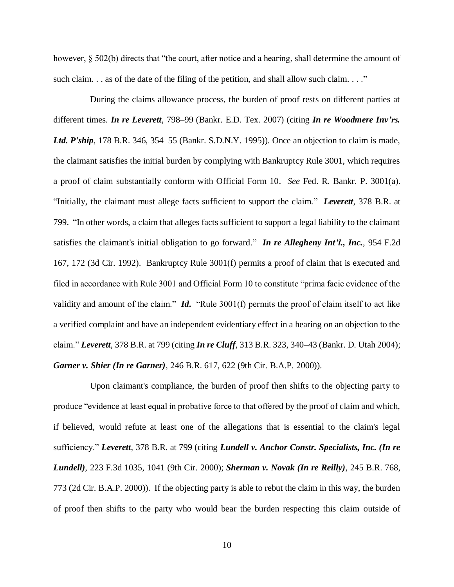however,  $\S 502(b)$  directs that "the court, after notice and a hearing, shall determine the amount of such claim.  $\ldots$  as of the date of the filing of the petition, and shall allow such claim.  $\ldots$ ."

During the claims allowance process, the burden of proof rests on different parties at different times. *In re Leverett*, 798–99 (Bankr. E.D. Tex. 2007) (citing *In re Woodmere Inv'rs. Ltd. P'ship*, 178 B.R. 346, 354–55 (Bankr. S.D.N.Y. 1995)). Once an objection to claim is made, the claimant satisfies the initial burden by complying with Bankruptcy Rule 3001, which requires a proof of claim substantially conform with Official Form 10. *See* Fed. R. Bankr. P. 3001(a). "Initially, the claimant must allege facts sufficient to support the claim." *Leverett*, 378 B.R. at 799. "In other words, a claim that alleges facts sufficient to support a legal liability to the claimant satisfies the claimant's initial obligation to go forward." *In re Allegheny Int'l., Inc.*, 954 F.2d 167, 172 (3d Cir. 1992). Bankruptcy Rule 3001(f) permits a proof of claim that is executed and filed in accordance with Rule 3001 and Official Form 10 to constitute "prima facie evidence of the validity and amount of the claim." *Id***.** "Rule 3001(f) permits the proof of claim itself to act like a verified complaint and have an independent evidentiary effect in a hearing on an objection to the claim." *Leverett*, 378 B.R. at 799 (citing *In re Cluff*, 313 B.R. 323, 340–43 (Bankr. D. Utah 2004); *Garner v. Shier (In re Garner)*, 246 B.R. 617, 622 (9th Cir. B.A.P. 2000)).

Upon claimant's compliance, the burden of proof then shifts to the objecting party to produce "evidence at least equal in probative force to that offered by the proof of claim and which, if believed, would refute at least one of the allegations that is essential to the claim's legal sufficiency." *Leverett*, 378 B.R. at 799 (citing *Lundell v. Anchor Constr. Specialists, Inc. (In re Lundell)*, 223 F.3d 1035, 1041 (9th Cir. 2000); *Sherman v. Novak (In re Reilly)*, 245 B.R. 768, 773 (2d Cir. B.A.P. 2000)). If the objecting party is able to rebut the claim in this way, the burden of proof then shifts to the party who would bear the burden respecting this claim outside of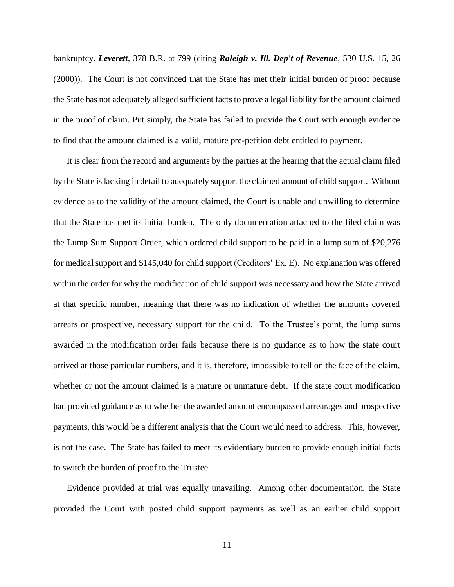bankruptcy. *Leverett*, 378 B.R. at 799 (citing *Raleigh v. Ill. Dep't of Revenue*, 530 U.S. 15, 26 (2000)). The Court is not convinced that the State has met their initial burden of proof because the State has not adequately alleged sufficient facts to prove a legal liability for the amount claimed in the proof of claim. Put simply, the State has failed to provide the Court with enough evidence to find that the amount claimed is a valid, mature pre-petition debt entitled to payment.

It is clear from the record and arguments by the parties at the hearing that the actual claim filed by the State is lacking in detail to adequately support the claimed amount of child support. Without evidence as to the validity of the amount claimed, the Court is unable and unwilling to determine that the State has met its initial burden. The only documentation attached to the filed claim was the Lump Sum Support Order, which ordered child support to be paid in a lump sum of \$20,276 for medical support and \$145,040 for child support (Creditors' Ex. E). No explanation was offered within the order for why the modification of child support was necessary and how the State arrived at that specific number, meaning that there was no indication of whether the amounts covered arrears or prospective, necessary support for the child. To the Trustee's point, the lump sums awarded in the modification order fails because there is no guidance as to how the state court arrived at those particular numbers, and it is, therefore, impossible to tell on the face of the claim, whether or not the amount claimed is a mature or unmature debt. If the state court modification had provided guidance as to whether the awarded amount encompassed arrearages and prospective payments, this would be a different analysis that the Court would need to address. This, however, is not the case. The State has failed to meet its evidentiary burden to provide enough initial facts to switch the burden of proof to the Trustee.

Evidence provided at trial was equally unavailing. Among other documentation, the State provided the Court with posted child support payments as well as an earlier child support

11